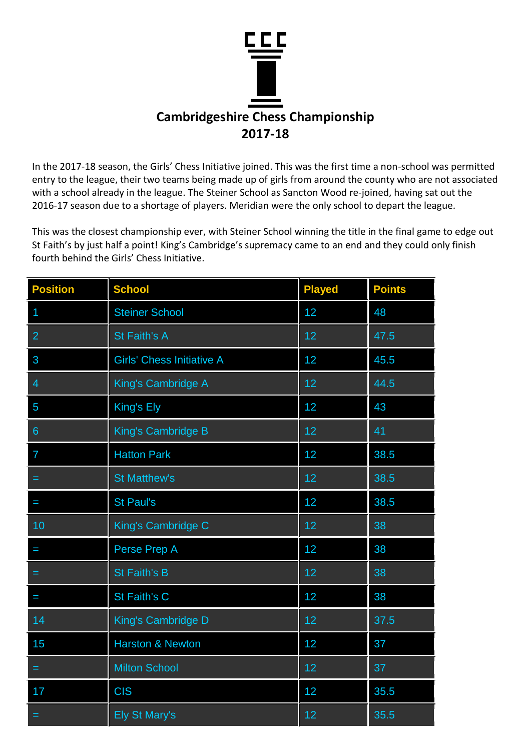

In the 2017-18 season, the Girls' Chess Initiative joined. This was the first time a non-school was permitted entry to the league, their two teams being made up of girls from around the county who are not associated with a school already in the league. The Steiner School as Sancton Wood re-joined, having sat out the 2016-17 season due to a shortage of players. Meridian were the only school to depart the league.

This was the closest championship ever, with Steiner School winning the title in the final game to edge out St Faith's by just half a point! King's Cambridge's supremacy came to an end and they could only finish fourth behind the Girls' Chess Initiative.

| <b>Position</b> | <b>School</b>                    | <b>Played</b> | <b>Points</b> |
|-----------------|----------------------------------|---------------|---------------|
| 1               | <b>Steiner School</b>            | 12            | 48            |
| $\overline{2}$  | <b>St Faith's A</b>              | 12            | 47.5          |
| 3               | <b>Girls' Chess Initiative A</b> | 12            | 45.5          |
| $\overline{4}$  | King's Cambridge A               | 12            | 44.5          |
| 5               | King's Ely                       | 12            | 43            |
| $6\phantom{1}$  | King's Cambridge B               | 12            | 41            |
| $\overline{7}$  | <b>Hatton Park</b>               | 12            | 38.5          |
| $=$             | <b>St Matthew's</b>              | 12            | 38.5          |
| I               | <b>St Paul's</b>                 | 12            | 38.5          |
| 10              | King's Cambridge C               | 12            | 38            |
|                 | Perse Prep A                     | 12            | 38            |
| =               | <b>St Faith's B</b>              | 12            | 38            |
| I               | St Faith's C                     | 12            | 38            |
| 14              | King's Cambridge D               | 12            | 37.5          |
| 15              | <b>Harston &amp; Newton</b>      | 12            | 37            |
| =               | <b>Milton School</b>             | 12            | 37            |
| 17              | <b>CIS</b>                       | 12            | 35.5          |
|                 | <b>Ely St Mary's</b>             | 12            | 35.5          |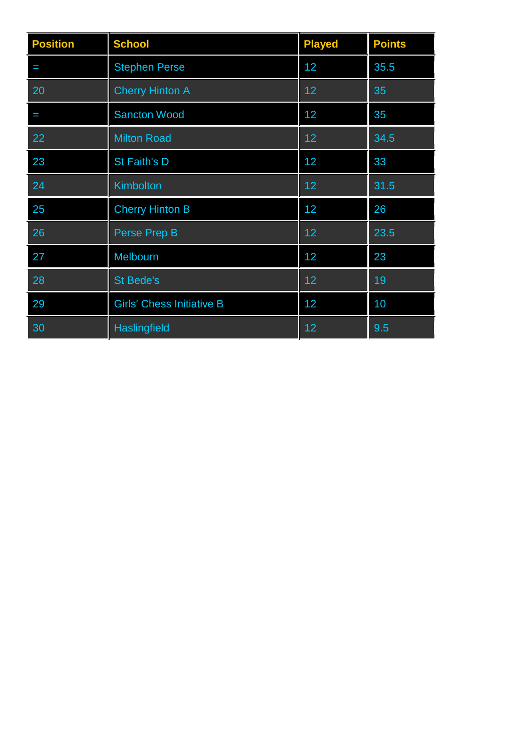| <b>Position</b> | <b>School</b>                    | <b>Played</b> | <b>Points</b> |
|-----------------|----------------------------------|---------------|---------------|
| I               | <b>Stephen Perse</b>             | 12            | 35.5          |
| 20              | <b>Cherry Hinton A</b>           | 12            | 35            |
| I               | <b>Sancton Wood</b>              | 12            | 35            |
| 22              | <b>Milton Road</b>               | 12            | 34.5          |
| 23              | St Faith's D                     | 12            | 33            |
| 24              | Kimbolton                        | 12            | 31.5          |
| 25              | <b>Cherry Hinton B</b>           | 12            | 26            |
| 26              | Perse Prep B                     | 12            | 23.5          |
| 27              | Melbourn                         | 12            | 23            |
| 28              | <b>St Bede's</b>                 | 12            | 19            |
| 29              | <b>Girls' Chess Initiative B</b> | 12            | 10            |
| 30              | <b>Haslingfield</b>              | 12            | 9.5           |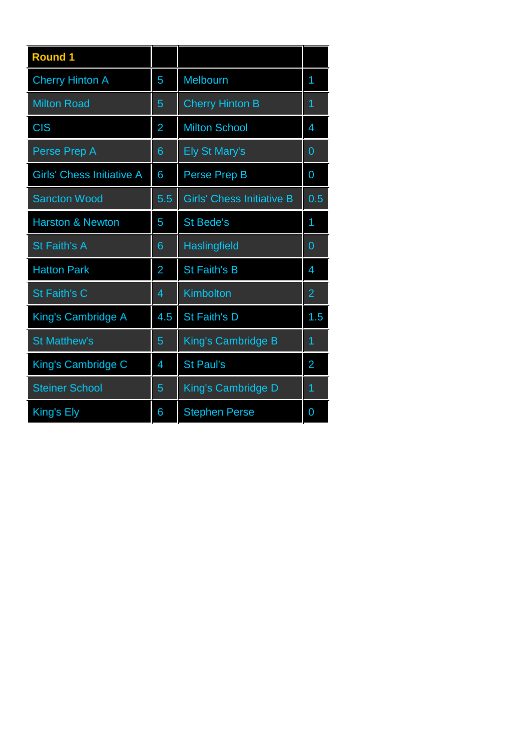| <b>Cherry Hinton A</b><br>Melbourn<br>5<br>1<br><b>Cherry Hinton B</b><br><b>Milton Road</b><br>5<br>1<br><b>CIS</b><br><b>Milton School</b><br>$\overline{2}$<br>4<br><b>Ely St Mary's</b><br>Perse Prep A<br>$\mathbf 0$<br>6<br><b>Girls' Chess Initiative A</b><br>6<br>Perse Prep B<br>0 |
|-----------------------------------------------------------------------------------------------------------------------------------------------------------------------------------------------------------------------------------------------------------------------------------------------|
|                                                                                                                                                                                                                                                                                               |
|                                                                                                                                                                                                                                                                                               |
|                                                                                                                                                                                                                                                                                               |
|                                                                                                                                                                                                                                                                                               |
|                                                                                                                                                                                                                                                                                               |
| <b>Girls' Chess Initiative B</b><br><b>Sancton Wood</b><br>5.5<br>0.5                                                                                                                                                                                                                         |
| <b>Harston &amp; Newton</b><br><b>St Bede's</b><br>5<br>1                                                                                                                                                                                                                                     |
| St Faith's A<br>Haslingfield<br>$\overline{0}$<br>6                                                                                                                                                                                                                                           |
| <b>St Faith's B</b><br><b>Hatton Park</b><br>$\overline{2}$<br>4                                                                                                                                                                                                                              |
| St Faith's C<br>Kimbolton<br>$\overline{2}$<br>4                                                                                                                                                                                                                                              |
| St Faith's D<br>4.5<br>1.5<br>King's Cambridge A                                                                                                                                                                                                                                              |
| <b>St Matthew's</b><br>King's Cambridge B<br>5<br>1                                                                                                                                                                                                                                           |
| <b>St Paul's</b><br>King's Cambridge C<br>$\overline{2}$<br>4                                                                                                                                                                                                                                 |
| <b>Steiner School</b><br>King's Cambridge D<br>5<br>1                                                                                                                                                                                                                                         |
| King's Ely<br><b>Stephen Perse</b><br>6<br>0                                                                                                                                                                                                                                                  |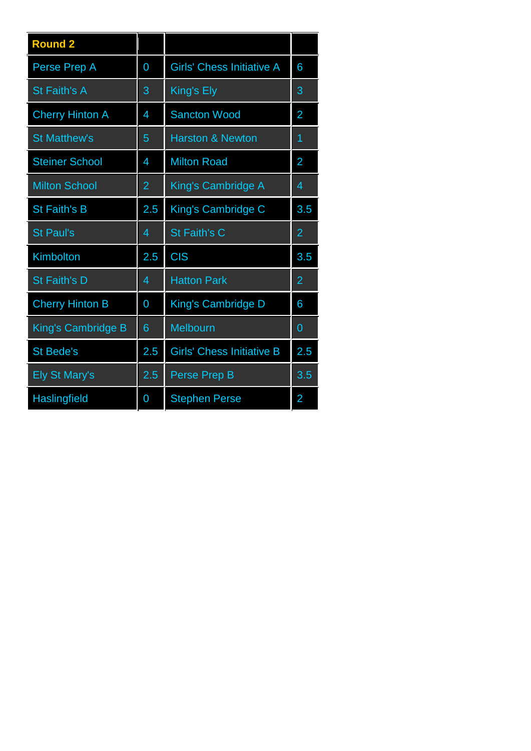| <b>Round 2</b>            |                |                                  |                |
|---------------------------|----------------|----------------------------------|----------------|
| Perse Prep A              | 0              | <b>Girls' Chess Initiative A</b> | 6              |
| <b>St Faith's A</b>       | 3              | King's Ely                       | 3              |
| <b>Cherry Hinton A</b>    | 4              | <b>Sancton Wood</b>              | $\overline{2}$ |
| <b>St Matthew's</b>       | 5              | <b>Harston &amp; Newton</b>      | 1              |
| <b>Steiner School</b>     | 4              | <b>Milton Road</b>               | $\overline{2}$ |
| <b>Milton School</b>      | $\overline{2}$ | King's Cambridge A               | $\overline{4}$ |
| <b>St Faith's B</b>       | 2.5            | King's Cambridge C               | 3.5            |
| <b>St Paul's</b>          | 4              | <b>St Faith's C</b>              | $\overline{2}$ |
| Kimbolton                 | 2.5            | <b>CIS</b>                       | 3.5            |
| <b>St Faith's D</b>       | 4              | <b>Hatton Park</b>               | $\overline{2}$ |
| <b>Cherry Hinton B</b>    | $\overline{0}$ | King's Cambridge D               | 6              |
| <b>King's Cambridge B</b> | 6              | Melbourn                         | $\overline{0}$ |
| <b>St Bede's</b>          | 2.5            | <b>Girls' Chess Initiative B</b> | 2.5            |
| <b>Ely St Mary's</b>      | 2.5            | <b>Perse Prep B</b>              | 3.5            |
| Haslingfield              | 0              | <b>Stephen Perse</b>             | 2              |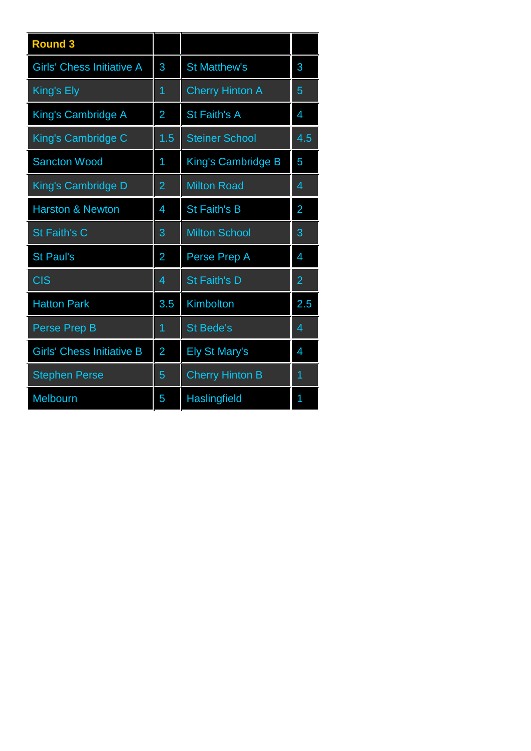| <b>Round 3</b>                   |                |                        |                |
|----------------------------------|----------------|------------------------|----------------|
| <b>Girls' Chess Initiative A</b> | 3              | <b>St Matthew's</b>    | 3              |
| King's Ely                       | 1              | <b>Cherry Hinton A</b> | 5              |
| King's Cambridge A               | $\overline{2}$ | <b>St Faith's A</b>    | 4              |
| King's Cambridge C               | 1.5            | <b>Steiner School</b>  | 4.5            |
| <b>Sancton Wood</b>              | 1              | King's Cambridge B     | 5              |
| <b>King's Cambridge D</b>        | $\overline{2}$ | <b>Milton Road</b>     | 4              |
| <b>Harston &amp; Newton</b>      | 4              | <b>St Faith's B</b>    | 2              |
| <b>St Faith's C</b>              | 3              | <b>Milton School</b>   | 3              |
| <b>St Paul's</b>                 | 2              | Perse Prep A           | 4              |
| <b>CIS</b>                       | 4              | <b>St Faith's D</b>    | $\overline{2}$ |
| <b>Hatton Park</b>               | 3.5            | Kimbolton              | 2.5            |
| Perse Prep B                     | 1              | <b>St Bede's</b>       | 4              |
| <b>Girls' Chess Initiative B</b> | $\overline{2}$ | <b>Ely St Mary's</b>   | 4              |
| <b>Stephen Perse</b>             | 5              | <b>Cherry Hinton B</b> | $\overline{1}$ |
| Melbourn                         | 5              | <b>Haslingfield</b>    | 1              |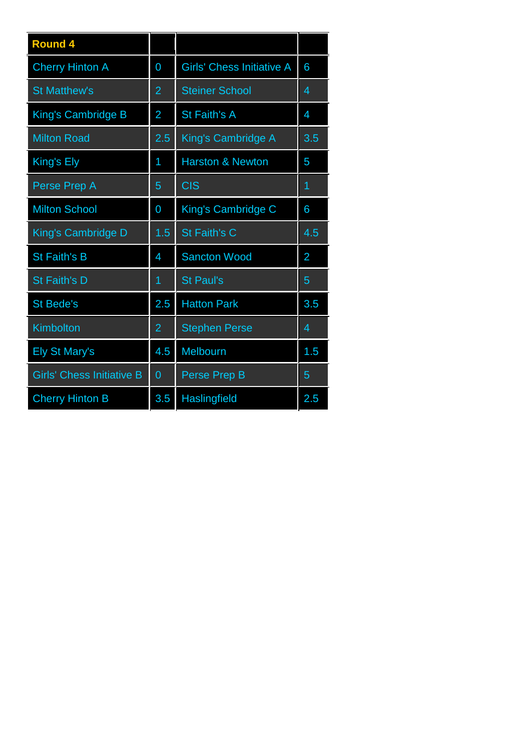| <b>Round 4</b>                   |                |                                  |                |
|----------------------------------|----------------|----------------------------------|----------------|
| <b>Cherry Hinton A</b>           | 0              | <b>Girls' Chess Initiative A</b> | 6              |
| <b>St Matthew's</b>              | 2              | <b>Steiner School</b>            | 4              |
| <b>King's Cambridge B</b>        | $\overline{2}$ | <b>St Faith's A</b>              | 4              |
| <b>Milton Road</b>               | 2.5            | King's Cambridge A               | 3.5            |
| King's Ely                       | 1              | <b>Harston &amp; Newton</b>      | 5              |
| Perse Prep A                     | 5              | <b>CIS</b>                       | $\overline{1}$ |
| <b>Milton School</b>             | 0              | King's Cambridge C               | 6              |
| King's Cambridge D               | 1.5            | <b>St Faith's C</b>              | 4.5            |
| <b>St Faith's B</b>              | 4              | <b>Sancton Wood</b>              | 2              |
| <b>St Faith's D</b>              | $\overline{1}$ | <b>St Paul's</b>                 | 5              |
| <b>St Bede's</b>                 | 2.5            | <b>Hatton Park</b>               | 3.5            |
| Kimbolton                        | $\overline{2}$ | <b>Stephen Perse</b>             | 4              |
| <b>Ely St Mary's</b>             | 4.5            | Melbourn                         | 1.5            |
| <b>Girls' Chess Initiative B</b> | $\overline{0}$ | Perse Prep B                     | 5              |
| <b>Cherry Hinton B</b>           | 3.5            | <b>Haslingfield</b>              | 2.5            |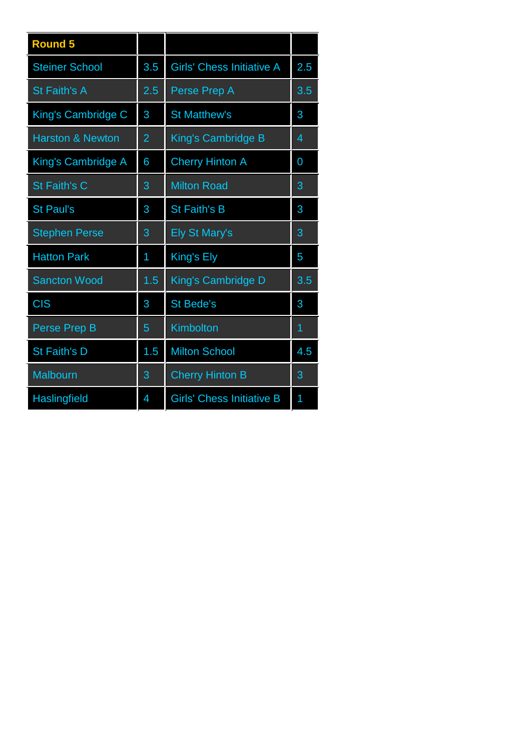| <b>Round 5</b>              |                |                                  |     |
|-----------------------------|----------------|----------------------------------|-----|
| <b>Steiner School</b>       | 3.5            | <b>Girls' Chess Initiative A</b> | 2.5 |
| <b>St Faith's A</b>         | 2.5            | Perse Prep A                     | 3.5 |
| King's Cambridge C          | 3              | <b>St Matthew's</b>              | 3   |
| <b>Harston &amp; Newton</b> | $\overline{2}$ | King's Cambridge B               | 4   |
| King's Cambridge A          | 6              | <b>Cherry Hinton A</b>           | 0   |
| <b>St Faith's C</b>         | 3              | <b>Milton Road</b>               | 3   |
| <b>St Paul's</b>            | 3              | <b>St Faith's B</b>              | 3   |
| <b>Stephen Perse</b>        | 3              | <b>Ely St Mary's</b>             | 3   |
| <b>Hatton Park</b>          | 1              | King's Ely                       | 5   |
| <b>Sancton Wood</b>         | 1.5            | King's Cambridge D               | 3.5 |
| <b>CIS</b>                  | 3              | <b>St Bede's</b>                 | 3   |
| Perse Prep B                | 5              | Kimbolton                        | 1   |
| <b>St Faith's D</b>         | 1.5            | <b>Milton School</b>             | 4.5 |
| <b>Malbourn</b>             | 3              | <b>Cherry Hinton B</b>           | 3   |
| Haslingfield                | 4              | <b>Girls' Chess Initiative B</b> | 1   |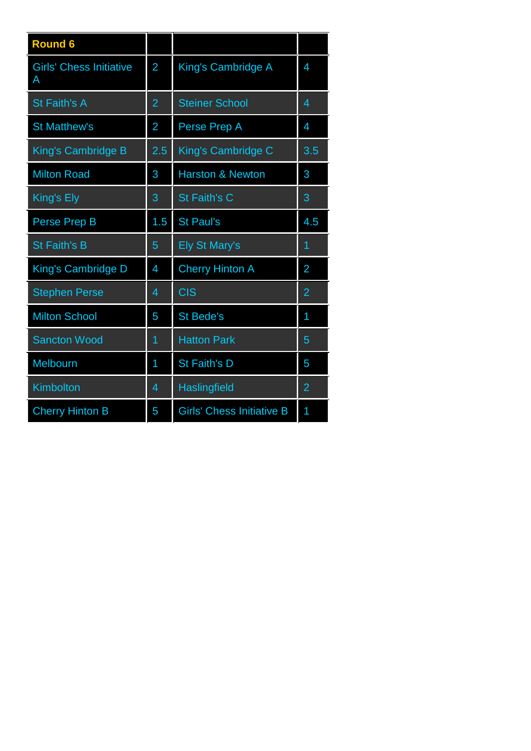| <b>Round 6</b>                      |                |                                  |                |
|-------------------------------------|----------------|----------------------------------|----------------|
| <b>Girls' Chess Initiative</b><br>A | $\overline{2}$ | King's Cambridge A               | 4              |
| <b>St Faith's A</b>                 | $\overline{2}$ | <b>Steiner School</b>            | 4              |
| <b>St Matthew's</b>                 | $\overline{2}$ | Perse Prep A                     | 4              |
| King's Cambridge B                  | 2.5            | King's Cambridge C               | 3.5            |
| <b>Milton Road</b>                  | 3              | <b>Harston &amp; Newton</b>      | 3              |
| King's Ely                          | 3              | <b>St Faith's C</b>              | 3              |
| Perse Prep B                        | 1.5            | <b>St Paul's</b>                 | 4.5            |
| <b>St Faith's B</b>                 | 5              | <b>Ely St Mary's</b>             | 1              |
| King's Cambridge D                  | 4              | <b>Cherry Hinton A</b>           | 2              |
| <b>Stephen Perse</b>                | 4              | <b>CIS</b>                       | $\overline{2}$ |
| <b>Milton School</b>                | 5              | <b>St Bede's</b>                 | 1              |
| <b>Sancton Wood</b>                 | 1              | <b>Hatton Park</b>               | 5              |
| Melbourn                            | 1              | <b>St Faith's D</b>              | 5              |
| Kimbolton                           | 4              | Haslingfield                     | $\overline{2}$ |
| <b>Cherry Hinton B</b>              | 5              | <b>Girls' Chess Initiative B</b> | 1              |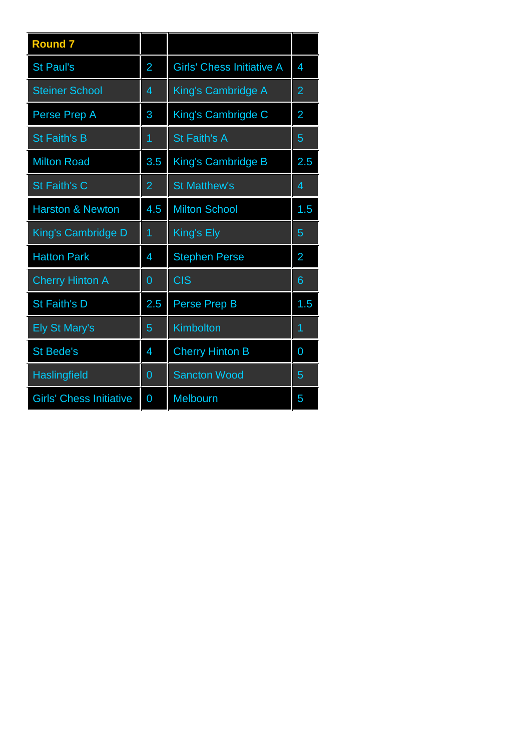| <b>Round 7</b>                 |                |                                  |     |
|--------------------------------|----------------|----------------------------------|-----|
| <b>St Paul's</b>               | 2              | <b>Girls' Chess Initiative A</b> | 4   |
| <b>Steiner School</b>          | 4              | King's Cambridge A               | 2   |
| Perse Prep A                   | 3              | King's Cambrigde C               | 2   |
| <b>St Faith's B</b>            | $\overline{1}$ | <b>St Faith's A</b>              | 5   |
| <b>Milton Road</b>             | 3.5            | King's Cambridge B               | 2.5 |
| <b>St Faith's C</b>            | $\overline{2}$ | <b>St Matthew's</b>              | 4   |
| <b>Harston &amp; Newton</b>    | 4.5            | <b>Milton School</b>             | 1.5 |
| King's Cambridge D             | 1              | King's Ely                       | 5   |
| <b>Hatton Park</b>             | 4              | <b>Stephen Perse</b>             | 2   |
| <b>Cherry Hinton A</b>         | $\overline{0}$ | <b>CIS</b>                       | 6   |
| <b>St Faith's D</b>            | 2.5            | Perse Prep B                     | 1.5 |
| <b>Ely St Mary's</b>           | 5              | <b>Kimbolton</b>                 | 1   |
| <b>St Bede's</b>               | 4              | <b>Cherry Hinton B</b>           | 0   |
| Haslingfield                   | $\overline{0}$ | <b>Sancton Wood</b>              | 5   |
| <b>Girls' Chess Initiative</b> | 0              | Melbourn                         | 5   |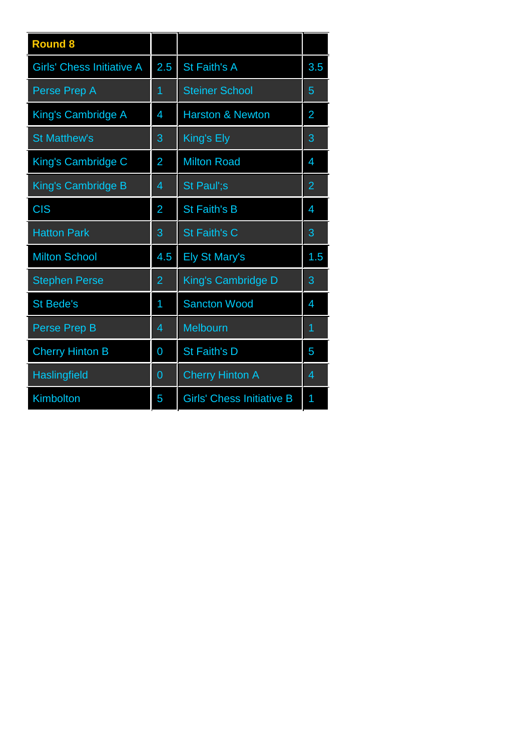| <b>Round 8</b>                   |                |                                  |                |
|----------------------------------|----------------|----------------------------------|----------------|
| <b>Girls' Chess Initiative A</b> | 2.5            | <b>St Faith's A</b>              | 3.5            |
| Perse Prep A                     | 1              | <b>Steiner School</b>            | 5              |
| King's Cambridge A               | 4              | <b>Harston &amp; Newton</b>      | $\overline{2}$ |
| <b>St Matthew's</b>              | 3              | King's Ely                       | 3              |
| King's Cambridge C               | $\overline{2}$ | <b>Milton Road</b>               | 4              |
| <b>King's Cambridge B</b>        | 4              | St Paul';s                       | $\overline{2}$ |
| <b>CIS</b>                       | $\overline{2}$ | <b>St Faith's B</b>              | 4              |
| <b>Hatton Park</b>               | 3              | <b>St Faith's C</b>              | 3              |
| <b>Milton School</b>             | 4.5            | <b>Ely St Mary's</b>             | 1.5            |
| <b>Stephen Perse</b>             | $\overline{2}$ | King's Cambridge D               | 3              |
| <b>St Bede's</b>                 | 1              | <b>Sancton Wood</b>              | 4              |
| Perse Prep B                     | 4              | <b>Melbourn</b>                  | 1              |
| <b>Cherry Hinton B</b>           | $\overline{0}$ | St Faith's D                     | 5              |
| <b>Haslingfield</b>              | $\overline{0}$ | <b>Cherry Hinton A</b>           | 4              |
| Kimbolton                        | 5              | <b>Girls' Chess Initiative B</b> | 1              |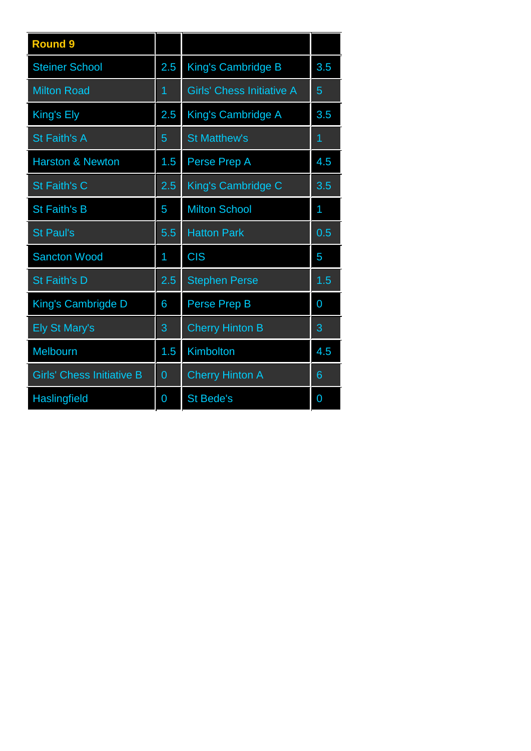| <b>Round 9</b>                   |                |                                  |                 |
|----------------------------------|----------------|----------------------------------|-----------------|
| <b>Steiner School</b>            | 2.5            | King's Cambridge B               | 3.5             |
| <b>Milton Road</b>               | $\overline{1}$ | <b>Girls' Chess Initiative A</b> | 5               |
| King's Ely                       | 2.5            | King's Cambridge A               | 3.5             |
| <b>St Faith's A</b>              | 5              | <b>St Matthew's</b>              | $\overline{1}$  |
| <b>Harston &amp; Newton</b>      | 1.5            | Perse Prep A                     | 4.5             |
| <b>St Faith's C</b>              | 2.5            | King's Cambridge C               | 3.5             |
| <b>St Faith's B</b>              | 5              | <b>Milton School</b>             | 1               |
| <b>St Paul's</b>                 | 5.5            | <b>Hatton Park</b>               | 0.5             |
| <b>Sancton Wood</b>              | 1              | <b>CIS</b>                       | 5               |
| <b>St Faith's D</b>              | 2.5            | <b>Stephen Perse</b>             | 1.5             |
| King's Cambrigde D               | 6              | Perse Prep B                     | 0               |
| <b>Ely St Mary's</b>             | 3              | <b>Cherry Hinton B</b>           | 3               |
| <b>Melbourn</b>                  | 1.5            | Kimbolton                        | 4.5             |
| <b>Girls' Chess Initiative B</b> | $\overline{0}$ | <b>Cherry Hinton A</b>           | $6\phantom{1}6$ |
| Haslingfield                     | 0              | <b>St Bede's</b>                 | 0               |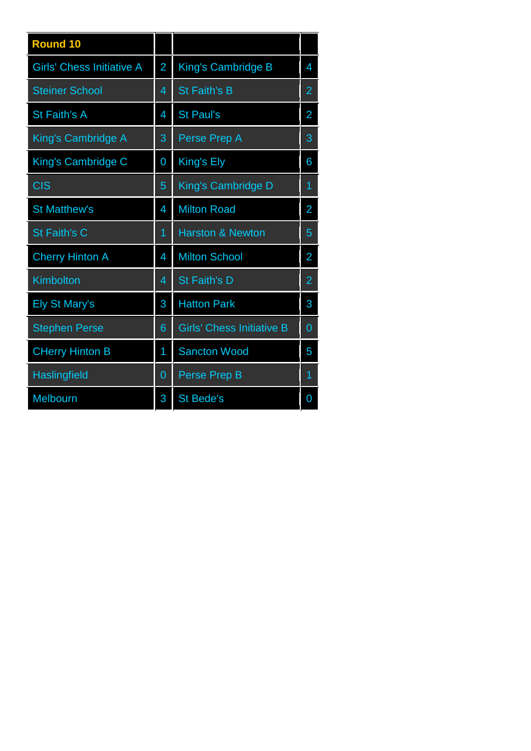| <b>Round 10</b>                  |                |                                  |                |
|----------------------------------|----------------|----------------------------------|----------------|
| <b>Girls' Chess Initiative A</b> | $\overline{2}$ | King's Cambridge B               | 4              |
| <b>Steiner School</b>            | $\overline{4}$ | <b>St Faith's B</b>              | $\overline{2}$ |
| <b>St Faith's A</b>              | 4              | <b>St Paul's</b>                 | $\overline{2}$ |
| King's Cambridge A               | 3              | Perse Prep A                     | 3              |
| King's Cambridge C               | 0              | King's Ely                       | 6              |
| <b>CIS</b>                       | 5              | King's Cambridge D               | 1              |
| <b>St Matthew's</b>              | 4              | <b>Milton Road</b>               | $\overline{2}$ |
| <b>St Faith's C</b>              | 1              | <b>Harston &amp; Newton</b>      | 5              |
| <b>Cherry Hinton A</b>           | 4              | <b>Milton School</b>             | $\overline{2}$ |
| Kimbolton                        | 4              | <b>St Faith's D</b>              | $\overline{2}$ |
| <b>Ely St Mary's</b>             | 3              | <b>Hatton Park</b>               | 3              |
| <b>Stephen Perse</b>             | 6              | <b>Girls' Chess Initiative B</b> | $\overline{0}$ |
| <b>CHerry Hinton B</b>           | 1              | <b>Sancton Wood</b>              | 5              |
| Haslingfield                     | 0              | <b>Perse Prep B</b>              | 1              |
| Melbourn                         | 3              | <b>St Bede's</b>                 | 0              |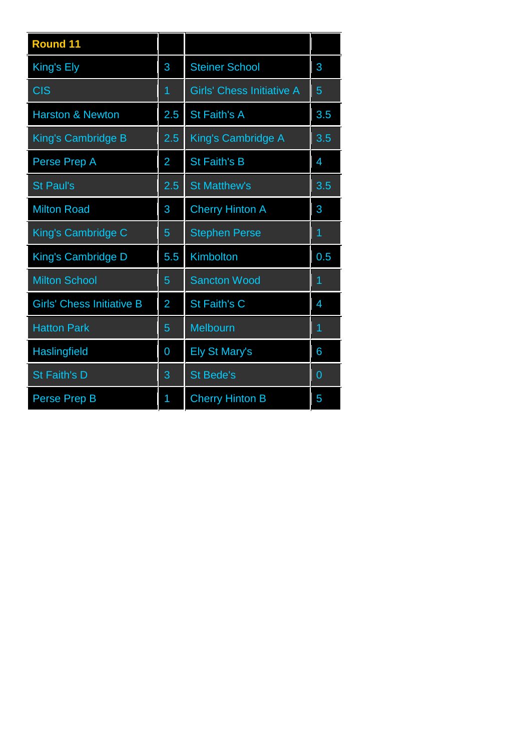| <b>Round 11</b>                  |                |                                  |                |
|----------------------------------|----------------|----------------------------------|----------------|
| King's Ely                       | 3              | <b>Steiner School</b>            | 3              |
| <b>CIS</b>                       | $\overline{1}$ | <b>Girls' Chess Initiative A</b> | 5              |
| <b>Harston &amp; Newton</b>      | 2.5            | St Faith's A                     | 3.5            |
| <b>King's Cambridge B</b>        | 2.5            | King's Cambridge A               | 3.5            |
| Perse Prep A                     | $\overline{2}$ | <b>St Faith's B</b>              | 4              |
| <b>St Paul's</b>                 | 2.5            | <b>St Matthew's</b>              | 3.5            |
| <b>Milton Road</b>               | 3              | <b>Cherry Hinton A</b>           | 3              |
| King's Cambridge C               | 5              | <b>Stephen Perse</b>             | 1              |
| King's Cambridge D               | 5.5            | Kimbolton                        | 0.5            |
| <b>Milton School</b>             | 5              | <b>Sancton Wood</b>              | $\overline{1}$ |
| <b>Girls' Chess Initiative B</b> | $\overline{2}$ | St Faith's C                     | 4              |
| <b>Hatton Park</b>               | 5              | Melbourn                         | 1              |
| Haslingfield                     | 0              | <b>Ely St Mary's</b>             | 6              |
| <b>St Faith's D</b>              | 3              | <b>St Bede's</b>                 | 0              |
| Perse Prep B                     | 1              | <b>Cherry Hinton B</b>           | 5              |